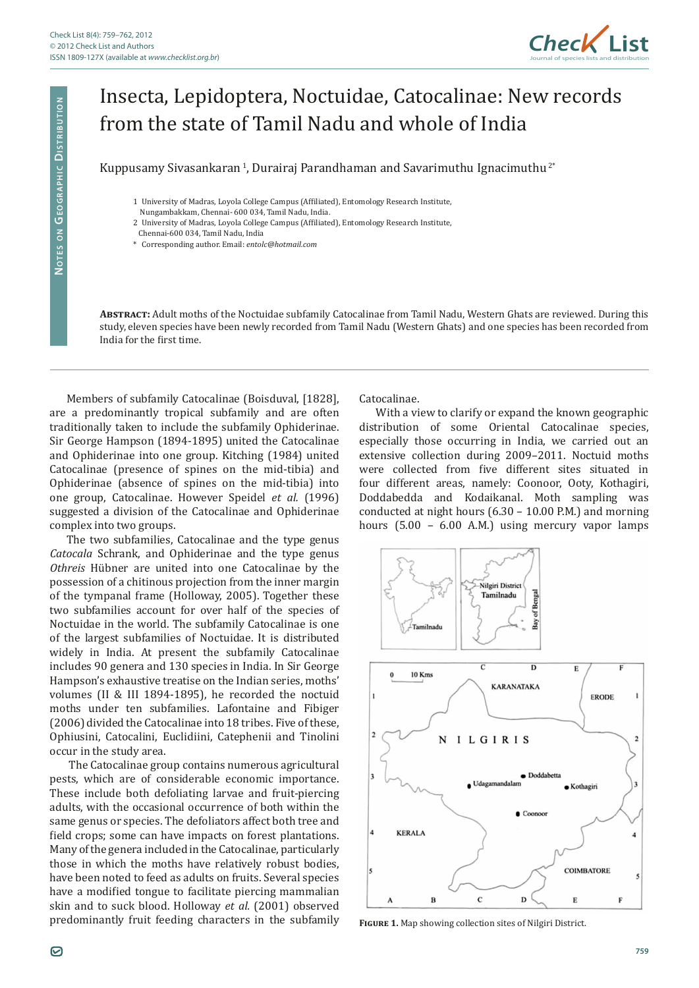

# Insecta, Lepidoptera, Noctuidae, Catocalinae: New records from the state of Tamil Nadu and whole of India

# Kuppusamy Sivasankaran<sup>1</sup>, Durairaj Parandhaman and Savarimuthu Ignacimuthu<sup>2\*</sup>

- 1 University of Madras, Loyola College Campus (Affiliated), Entomology Research Institute,
- Nungambakkam, Chennai- 600 034, Tamil Nadu, India.
- 2 University of Madras, Loyola College Campus (Affiliated), Entomology Research Institute,
- Chennai-600 034, Tamil Nadu, India
- \* Corresponding author. Email: *entolc@hotmail.com*

**Abstract:** Adult moths of the Noctuidae subfamily Catocalinae from Tamil Nadu, Western Ghats are reviewed. During this study, eleven species have been newly recorded from Tamil Nadu (Western Ghats) and one species has been recorded from India for the first time.

Members of subfamily Catocalinae (Boisduval, [1828], are a predominantly tropical subfamily and are often traditionally taken to include the subfamily Ophiderinae. Sir George Hampson (1894-1895) united the Catocalinae and Ophiderinae into one group. Kitching (1984) united Catocalinae (presence of spines on the mid-tibia) and Ophiderinae (absence of spines on the mid-tibia) into one group, Catocalinae. However Speidel *et al.* (1996) suggested a division of the Catocalinae and Ophiderinae complex into two groups.

The two subfamilies, Catocalinae and the type genus *Catocala* Schrank, and Ophiderinae and the type genus *Othreis* Hübner are united into one Catocalinae by the possession of a chitinous projection from the inner margin of the tympanal frame (Holloway, 2005). Together these two subfamilies account for over half of the species of Noctuidae in the world. The subfamily Catocalinae is one of the largest subfamilies of Noctuidae. It is distributed widely in India. At present the subfamily Catocalinae includes 90 genera and 130 species in India. In Sir George Hampson's exhaustive treatise on the Indian series, moths' volumes (II & III 1894-1895), he recorded the noctuid moths under ten subfamilies. Lafontaine and Fibiger (2006) divided the Catocalinae into 18 tribes. Five of these, Ophiusini, Catocalini, Euclidiini, Catephenii and Tinolini occur in the study area.

 The Catocalinae group contains numerous agricultural pests, which are of considerable economic importance. These include both defoliating larvae and fruit-piercing adults, with the occasional occurrence of both within the same genus or species. The defoliators affect both tree and field crops; some can have impacts on forest plantations. Many of the genera included in the Catocalinae, particularly those in which the moths have relatively robust bodies, have been noted to feed as adults on fruits. Several species have a modified tongue to facilitate piercing mammalian skin and to suck blood. Holloway *et al.* (2001) observed predominantly fruit feeding characters in the subfamily **Figure 1.** Map showing collection sites of Nilgiri District.

Catocalinae.

With a view to clarify or expand the known geographic distribution of some Oriental Catocalinae species, especially those occurring in India, we carried out an extensive collection during 2009–2011. Noctuid moths were collected from five different sites situated in four different areas, namely: Coonoor, Ooty, Kothagiri, Doddabedda and Kodaikanal. Moth sampling was conducted at night hours (6.30 – 10.00 P.M.) and morning hours (5.00 – 6.00 A.M.) using mercury vapor lamps



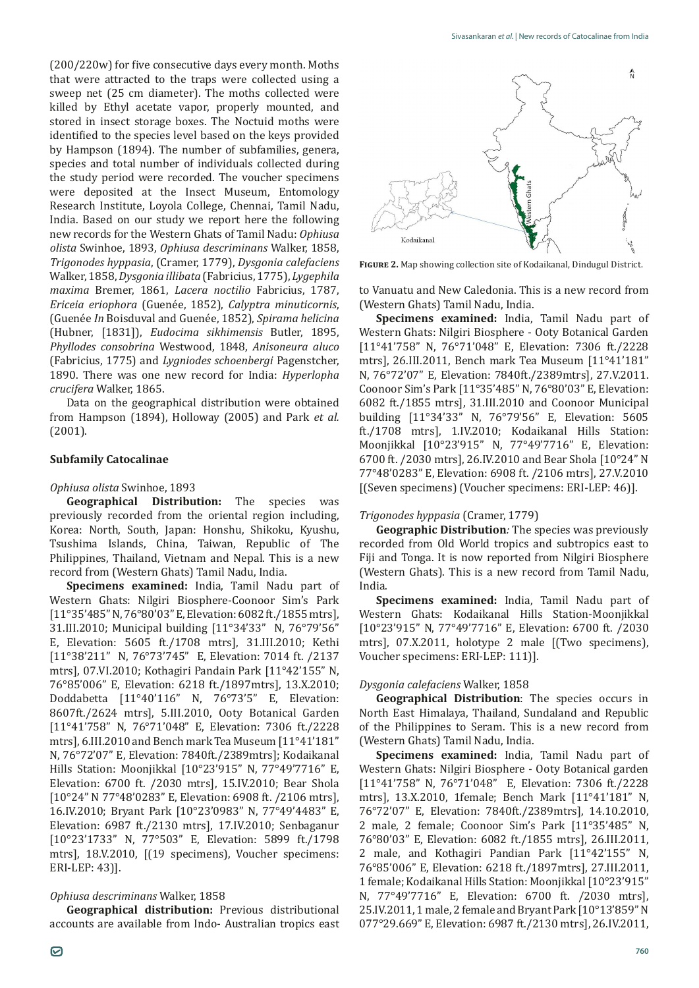(200/220w) for five consecutive days every month. Moths that were attracted to the traps were collected using a sweep net (25 cm diameter). The moths collected were killed by Ethyl acetate vapor, properly mounted, and stored in insect storage boxes. The Noctuid moths were identified to the species level based on the keys provided by Hampson (1894). The number of subfamilies, genera, species and total number of individuals collected during the study period were recorded. The voucher specimens were deposited at the Insect Museum, Entomology Research Institute, Loyola College, Chennai, Tamil Nadu, India. Based on our study we report here the following new records for the Western Ghats of Tamil Nadu: *Ophiusa olista* Swinhoe, 1893, *Ophiusa descriminans* Walker, 1858, *Trigonodes hyppasia*, (Cramer, 1779), *Dysgonia calefaciens*  Walker, 1858, *Dysgonia illibata* (Fabricius, 1775), *Lygephila maxima* Bremer, 1861, *Lacera noctilio* Fabricius, 1787, *Ericeia eriophora* (Guenée, 1852), *Calyptra minuticornis*, (Guenée *In* Boisduval and Guenée, 1852), *Spirama helicina* (Hubner, [1831]), *Eudocima sikhimensis* Butler, 1895, *Phyllodes consobrina* Westwood, 1848, *Anisoneura aluco*  (Fabricius, 1775) and *Lygniodes schoenbergi* Pagenstcher, 1890. There was one new record for India: *Hyperlopha crucifera* Walker, 1865.

Data on the geographical distribution were obtained from Hampson (1894), Holloway (2005) and Park *et al.* (2001).

#### **Subfamily Catocalinae**

#### *Ophiusa olista* Swinhoe, 1893

**Geographical Distribution:** The species was previously recorded from the oriental region including, Korea: North, South, Japan: Honshu, Shikoku, Kyushu, Tsushima Islands, China, Taiwan, Republic of The Philippines, Thailand, Vietnam and Nepal. This is a new record from (Western Ghats) Tamil Nadu, India.

**Specimens examined:** India, Tamil Nadu part of Western Ghats: Nilgiri Biosphere-Coonoor Sim's Park [11°35'485" N, 76°80'03" E, Elevation: 6082 ft./1855 mtrs], 31.III.2010; Municipal building [11°34'33" N, 76°79'56" E, Elevation: 5605 ft./1708 mtrs], 31.III.2010; Kethi [11°38'211" N, 76°73'745" E, Elevation: 7014 ft. /2137 mtrs], 07.VI.2010; Kothagiri Pandain Park [11°42'155" N, 76°85'006" E, Elevation: 6218 ft./1897mtrs], 13.X.2010; Doddabetta [11°40'116" N, 76°73'5" E, Elevation: 8607ft./2624 mtrs], 5.III.2010, Ooty Botanical Garden [11°41'758" N, 76°71'048" E, Elevation: 7306 ft./2228 mtrs], 6.III.2010 and Bench mark Tea Museum [11°41'181" N, 76°72'07" E, Elevation: 7840ft./2389mtrs]; Kodaikanal Hills Station: Moonjikkal [10°23'915" N, 77°49'7716" E, Elevation: 6700 ft. /2030 mtrs], 15.IV.2010; Bear Shola [10°24" N 77°48'0283" E, Elevation: 6908 ft. /2106 mtrs], 16.IV.2010; Bryant Park [10°23'0983" N, 77°49'4483" E, Elevation: 6987 ft./2130 mtrs], 17.IV.2010; Senbaganur [10°23'1733" N, 77°503" E, Elevation: 5899 ft./1798 mtrs], 18.V.2010, [(19 specimens), Voucher specimens: ERI-LEP: 43)].

#### *Ophiusa descriminans* Walker, 1858

**Geographical distribution:** Previous distributional accounts are available from Indo- Australian tropics east



**Figure 2.** Map showing collection site of Kodaikanal, Dindugul District.

to Vanuatu and New Caledonia. This is a new record from (Western Ghats) Tamil Nadu, India.

**Specimens examined:** India, Tamil Nadu part of Western Ghats: Nilgiri Biosphere - Ooty Botanical Garden [11°41'758" N, 76°71'048" E, Elevation: 7306 ft./2228 mtrs], 26.III.2011, Bench mark Tea Museum [11°41'181" N, 76°72'07" E, Elevation: 7840ft./2389mtrs], 27.V.2011. Coonoor Sim's Park [11°35'485" N, 76°80'03" E, Elevation: 6082 ft./1855 mtrs], 31.III.2010 and Coonoor Municipal building [11°34'33" N, 76°79'56" E, Elevation: 5605 ft./1708 mtrs], 1.IV.2010; Kodaikanal Hills Station: Moonjikkal [10°23'915" N, 77°49'7716" E, Elevation: 6700 ft. /2030 mtrs], 26.IV.2010 and Bear Shola [10°24" N 77°48'0283" E, Elevation: 6908 ft. /2106 mtrs], 27.V.2010 [(Seven specimens) (Voucher specimens: ERI-LEP: 46)].

# *Trigonodes hyppasia* (Cramer, 1779)

**Geographic Distribution***:* The species was previously recorded from Old World tropics and subtropics east to Fiji and Tonga. It is now reported from Nilgiri Biosphere (Western Ghats). This is a new record from Tamil Nadu, India.

**Specimens examined:** India, Tamil Nadu part of Western Ghats: Kodaikanal Hills Station-Moonjikkal [10°23'915" N, 77°49'7716" E, Elevation: 6700 ft. /2030 mtrs], 07.X.2011, holotype 2 male [(Two specimens), Voucher specimens: ERI-LEP: 111)].

# *Dysgonia calefaciens* Walker, 1858

**Geographical Distribution**: The species occurs in North East Himalaya, Thailand, Sundaland and Republic of the Philippines to Seram. This is a new record from (Western Ghats) Tamil Nadu, India.

**Specimens examined:** India, Tamil Nadu part of Western Ghats: Nilgiri Biosphere - Ooty Botanical garden [11°41'758" N, 76°71'048" E, Elevation: 7306 ft./2228 mtrs], 13.X.2010, 1female; Bench Mark [11°41'181" N, 76°72'07" E, Elevation: 7840ft./2389mtrs], 14.10.2010, 2 male, 2 female; Coonoor Sim's Park [11°35'485" N, 76°80'03" E, Elevation: 6082 ft./1855 mtrs], 26.III.2011, 2 male, and Kothagiri Pandian Park [11°42'155" N, 76°85'006" E, Elevation: 6218 ft./1897mtrs], 27.III.2011, 1 female; Kodaikanal Hills Station: Moonjikkal [10°23'915" N, 77°49'7716" E, Elevation: 6700 ft. /2030 mtrs], 25.IV.2011, 1 male, 2 female and Bryant Park [10°13'859" N 077°29.669" E, Elevation: 6987 ft./2130 mtrs], 26.IV.2011,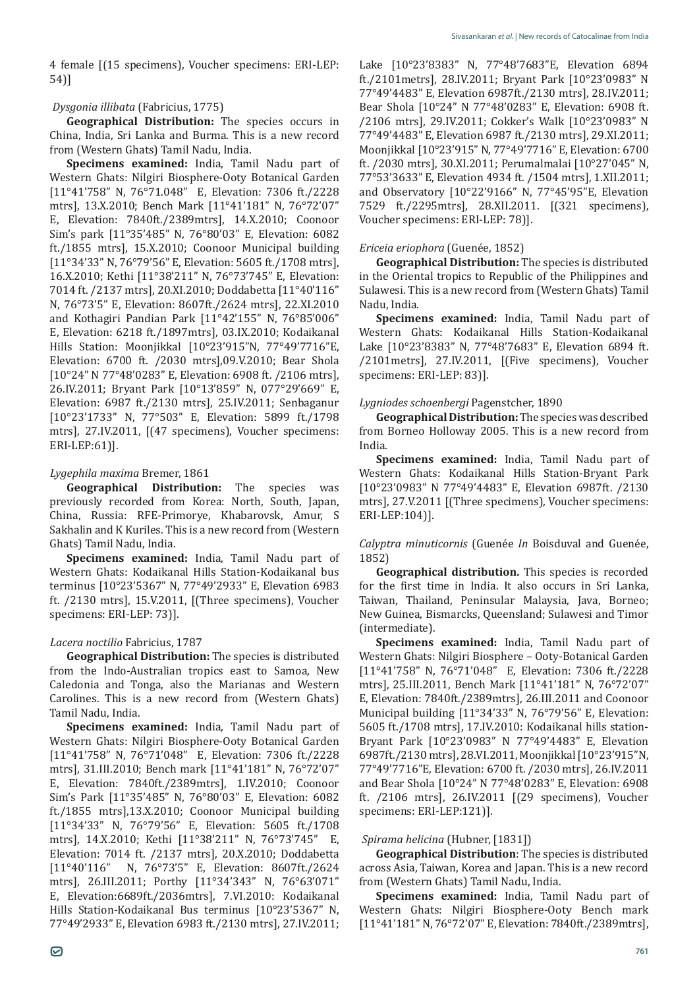4 female [(15 specimens), Voucher specimens: ERI-LEP: 54)]

#### *Dysgonia illibata* (Fabricius, 1775)

**Geographical Distribution:** The species occurs in China, India, Sri Lanka and Burma. This is a new record from (Western Ghats) Tamil Nadu, India.

**Specimens examined:** India, Tamil Nadu part of Western Ghats: Nilgiri Biosphere-Ooty Botanical Garden [11°41'758" N, 76°71.048" E, Elevation: 7306 ft./2228 mtrs], 13.X.2010; Bench Mark [11°41'181" N, 76°72'07" E, Elevation: 7840ft./2389mtrs], 14.X.2010; Coonoor Sim's park [11°35'485" N, 76°80'03" E, Elevation: 6082 ft./1855 mtrs], 15.X.2010; Coonoor Municipal building [11°34'33" N, 76°79'56" E, Elevation: 5605 ft./1708 mtrs], 16.X.2010; Kethi [11°38'211" N, 76°73'745" E, Elevation: 7014 ft. /2137 mtrs], 20.XI.2010; Doddabetta [11°40'116" N, 76°73'5" E, Elevation: 8607ft./2624 mtrs], 22.XI.2010 and Kothagiri Pandian Park [11°42'155" N, 76°85'006" E, Elevation: 6218 ft./1897mtrs], 03.IX.2010; Kodaikanal Hills Station: Moonjikkal [10°23'915"N, 77°49'7716"E, Elevation: 6700 ft. /2030 mtrs],09.V.2010; Bear Shola [10°24" N 77°48'0283" E, Elevation: 6908 ft. /2106 mtrs], 26.IV.2011; Bryant Park [10°13'859" N, 077°29'669" E, Elevation: 6987 ft./2130 mtrs], 25.IV.2011; Senbaganur [10°23'1733" N, 77°503" E, Elevation: 5899 ft./1798 mtrs], 27.IV.2011, [(47 specimens), Voucher specimens: ERI-LEP:61)].

#### *Lygephila maxima* Bremer, 1861

**Geographical Distribution:** The species was previously recorded from Korea: North, South, Japan, China, Russia: RFE-Primorye, Khabarovsk, Amur, S Sakhalin and K Kuriles. This is a new record from (Western Ghats) Tamil Nadu, India.

**Specimens examined:** India, Tamil Nadu part of Western Ghats: Kodaikanal Hills Station-Kodaikanal bus terminus [10°23'5367" N, 77°49'2933" E, Elevation 6983 ft. /2130 mtrs], 15.V.2011, [(Three specimens), Voucher specimens: ERI-LEP: 73)].

#### *Lacera noctilio* Fabricius, 1787

**Geographical Distribution:** The species is distributed from the Indo-Australian tropics east to Samoa, New Caledonia and Tonga, also the Marianas and Western Carolines. This is a new record from (Western Ghats) Tamil Nadu, India.

**Specimens examined:** India, Tamil Nadu part of Western Ghats: Nilgiri Biosphere-Ooty Botanical Garden [11°41'758" N, 76°71'048" E, Elevation: 7306 ft./2228 mtrs], 31.III.2010; Bench mark [11°41'181" N, 76°72'07" E, Elevation: 7840ft./2389mtrs], 1.IV.2010; Coonoor Sim's Park [11°35'485" N, 76°80'03" E, Elevation: 6082 ft./1855 mtrs],13.X.2010; Coonoor Municipal building [11°34'33" N, 76°79'56" E, Elevation: 5605 ft./1708 mtrs], 14.X.2010; Kethi [11°38'211" N, 76°73'745" E, Elevation: 7014 ft. /2137 mtrs], 20.X.2010; Doddabetta [11°40'116" N, 76°73'5" E, Elevation: 8607ft./2624 N, 76°73'5" E, Elevation: 8607ft./2624 mtrs], 26.III.2011; Porthy [11°34'343" N, 76°63'071" E, Elevation:6689ft./2036mtrs], 7.VI.2010: Kodaikanal Hills Station-Kodaikanal Bus terminus [10°23'5367" N, 77°49'2933" E, Elevation 6983 ft./2130 mtrs], 27.IV.2011;

Lake [10°23'8383" N, 77°48'7683"E, Elevation 6894 ft./2101metrs], 28.IV.2011; Bryant Park [10°23'0983" N 77°49'4483" E, Elevation 6987ft./2130 mtrs], 28.IV.2011; Bear Shola [10°24" N 77°48'0283" E, Elevation: 6908 ft. /2106 mtrs], 29.IV.2011; Cokker's Walk [10°23'0983" N 77°49'4483" E, Elevation 6987 ft./2130 mtrs], 29.XI.2011; Moonjikkal [10°23'915" N, 77°49'7716" E, Elevation: 6700 ft. /2030 mtrs], 30.XI.2011; Perumalmalai [10°27'045" N, 77°53'3633" E, Elevation 4934 ft. /1504 mtrs], 1.XII.2011; and Observatory [10°22'9166" N, 77°45'95"E, Elevation 7529 ft./2295mtrs], 28.XII.2011. [(321 specimens), Voucher specimens: ERI-LEP: 78)].

#### *Ericeia eriophora* (Guenée, 1852)

**Geographical Distribution:** The species is distributed in the Oriental tropics to Republic of the Philippines and Sulawesi. This is a new record from (Western Ghats) Tamil Nadu, India.

**Specimens examined:** India, Tamil Nadu part of Western Ghats: Kodaikanal Hills Station-Kodaikanal Lake [10°23'8383" N, 77°48'7683" E, Elevation 6894 ft. /2101metrs], 27.IV.2011, [(Five specimens), Voucher specimens: ERI-LEP: 83)].

#### *Lygniodes schoenbergi* Pagenstcher, 1890

**Geographical Distribution:** The species was described from Borneo Holloway 2005. This is a new record from India.

**Specimens examined:** India, Tamil Nadu part of Western Ghats: Kodaikanal Hills Station-Bryant Park [10°23'0983" N 77°49'4483" E, Elevation 6987ft. /2130 mtrs], 27.V.2011 [(Three specimens), Voucher specimens: ERI-LEP:104)].

*Calyptra minuticornis* (Guenée *In* Boisduval and Guenée, 1852)

**Geographical distribution.** This species is recorded for the first time in India. It also occurs in Sri Lanka, Taiwan, Thailand, Peninsular Malaysia, Java, Borneo; New Guinea, Bismarcks, Queensland; Sulawesi and Timor (intermediate).

**Specimens examined:** India, Tamil Nadu part of Western Ghats: Nilgiri Biosphere – Ooty-Botanical Garden [11°41'758" N, 76°71'048" E, Elevation: 7306 ft./2228 mtrs], 25.III.2011, Bench Mark [11°41'181" N, 76°72'07" E, Elevation: 7840ft./2389mtrs], 26.III.2011 and Coonoor Municipal building [11°34'33" N, 76°79'56" E, Elevation: 5605 ft./1708 mtrs], 17.IV.2010: Kodaikanal hills station-Bryant Park [10°23'0983" N 77°49'4483" E, Elevation 6987ft./2130 mtrs], 28.VI.2011, Moonjikkal [10°23'915"N, 77°49'7716"E, Elevation: 6700 ft. /2030 mtrs], 26.IV.2011 and Bear Shola [10°24" N 77°48'0283" E, Elevation: 6908 ft. /2106 mtrs], 26.IV.2011 [(29 specimens), Voucher specimens: ERI-LEP:121)].

#### *Spirama helicina* (Hubner, [1831])

**Geographical Distribution**: The species is distributed across Asia, Taiwan, Korea and Japan. This is a new record from (Western Ghats) Tamil Nadu, India.

**Specimens examined:** India, Tamil Nadu part of Western Ghats: Nilgiri Biosphere-Ooty Bench mark [11°41'181" N, 76°72'07" E, Elevation: 7840ft./2389mtrs],